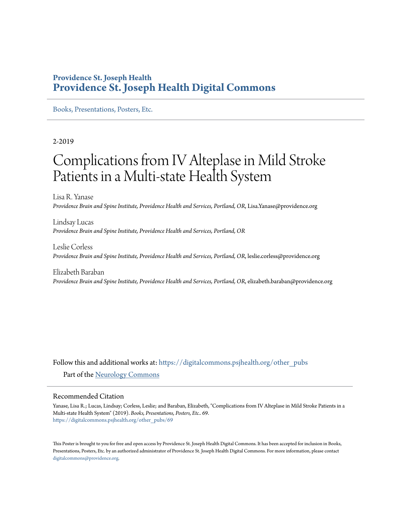### **Providence St. Joseph Health [Providence St. Joseph Health Digital Commons](https://digitalcommons.psjhealth.org?utm_source=digitalcommons.psjhealth.org%2Fother_pubs%2F69&utm_medium=PDF&utm_campaign=PDFCoverPages)**

[Books, Presentations, Posters, Etc.](https://digitalcommons.psjhealth.org/other_pubs?utm_source=digitalcommons.psjhealth.org%2Fother_pubs%2F69&utm_medium=PDF&utm_campaign=PDFCoverPages)

2-2019

### Complications from IV Alteplase in Mild Stroke Patients in a Multi-state Health System

Lisa R. Yanase *Providence Brain and Spine Institute, Providence Health and Services, Portland, OR*, Lisa.Yanase@providence.org

Lindsay Lucas *Providence Brain and Spine Institute, Providence Health and Services, Portland, OR*

Leslie Corless *Providence Brain and Spine Institute, Providence Health and Services, Portland, OR*, leslie.corless@providence.org

Elizabeth Baraban *Providence Brain and Spine Institute, Providence Health and Services, Portland, OR*, elizabeth.baraban@providence.org

Follow this and additional works at: [https://digitalcommons.psjhealth.org/other\\_pubs](https://digitalcommons.psjhealth.org/other_pubs?utm_source=digitalcommons.psjhealth.org%2Fother_pubs%2F69&utm_medium=PDF&utm_campaign=PDFCoverPages) Part of the [Neurology Commons](http://network.bepress.com/hgg/discipline/692?utm_source=digitalcommons.psjhealth.org%2Fother_pubs%2F69&utm_medium=PDF&utm_campaign=PDFCoverPages)

### Recommended Citation

Yanase, Lisa R.; Lucas, Lindsay; Corless, Leslie; and Baraban, Elizabeth, "Complications from IV Alteplase in Mild Stroke Patients in a Multi-state Health System" (2019). *Books, Presentations, Posters, Etc.*. 69. [https://digitalcommons.psjhealth.org/other\\_pubs/69](https://digitalcommons.psjhealth.org/other_pubs/69?utm_source=digitalcommons.psjhealth.org%2Fother_pubs%2F69&utm_medium=PDF&utm_campaign=PDFCoverPages)

This Poster is brought to you for free and open access by Providence St. Joseph Health Digital Commons. It has been accepted for inclusion in Books, Presentations, Posters, Etc. by an authorized administrator of Providence St. Joseph Health Digital Commons. For more information, please contact [digitalcommons@providence.org](mailto:digitalcommons@providence.org).